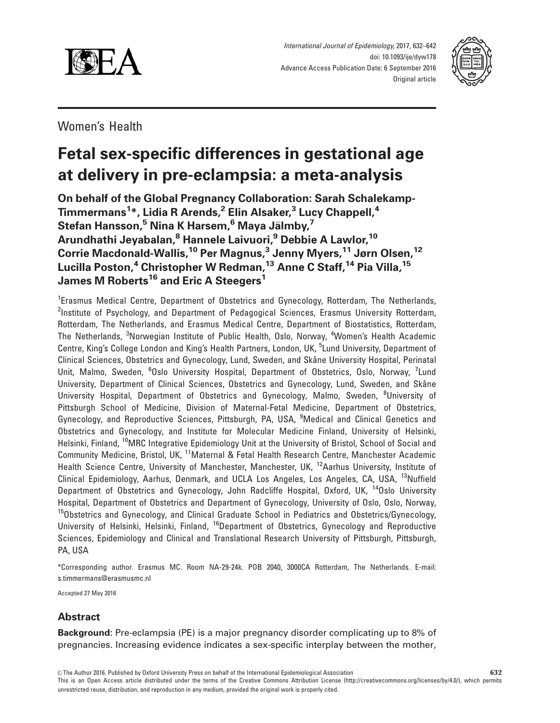



Women's Health

# Fetal sex-specific differences in gestational age at delivery in pre-eclampsia: a meta-analysis

On behalf of the Global Pregnancy Collaboration: Sarah Schalekamp-Timmermans $^1\!$ , Lidia R Arends, $^2$  Elin Alsaker, $^3$  Lucy Chappell, $^4$ Stefan Hansson,<sup>5</sup> Nina K Harsem,<sup>6</sup> Maya Jälmby,<sup>7</sup> Arundhathi Jeyabalan,<sup>8</sup> Hannele Laivuori,<sup>9</sup> Debbie A Lawlor,<sup>10</sup> Corrie Macdonald-Wallis,<sup>10</sup> Per Magnus,<sup>3</sup> Jenny Myers,<sup>11</sup> Jørn Olsen,<sup>12</sup> Lucilla Poston,<sup>4</sup> Christopher W Redman,<sup>13</sup> Anne C Staff,<sup>14</sup> Pia Villa,<sup>15</sup> James M Roberts<sup>16</sup> and Eric A Steegers<sup>1</sup>

<sup>1</sup>Erasmus Medical Centre, Department of Obstetrics and Gynecology, Rotterdam, The Netherlands, <sup>2</sup>Institute of Psychology, and Department of Pedagogical Sciences, Erasmus University Rotterdam, Rotterdam, The Netherlands, and Erasmus Medical Centre, Department of Biostatistics, Rotterdam, The Netherlands, <sup>3</sup>Norwegian Institute of Public Health, Oslo, Norway, <sup>4</sup>Women's Health Academic Centre, King's College London and King's Health Partners, London, UK, <sup>5</sup>Lund University, Department of Clinical Sciences, Obstetrics and Gynecology, Lund, Sweden, and Skåne University Hospital, Perinatal Unit, Malmo, Sweden, <sup>6</sup>Oslo University Hospital, Department of Obstetrics, Oslo, Norway, <sup>7</sup>Lund University, Department of Clinical Sciences, Obstetrics and Gynecology, Lund, Sweden, and Skåne University Hospital, Department of Obstetrics and Gynecology, Malmo, Sweden, <sup>8</sup>University of Pittsburgh School of Medicine, Division of Maternal-Fetal Medicine, Department of Obstetrics, Gynecology, and Reproductive Sciences, Pittsburgh, PA, USA, <sup>9</sup>Medical and Clinical Genetics and Obstetrics and Gynecology, and Institute for Molecular Medicine Finland, University of Helsinki, Helsinki, Finland, <sup>10</sup>MRC Integrative Epidemiology Unit at the University of Bristol, School of Social and Community Medicine, Bristol, UK, 11Maternal & Fetal Health Research Centre, Manchester Academic Health Science Centre, University of Manchester, Manchester, UK, <sup>12</sup>Aarhus University, Institute of Clinical Epidemiology, Aarhus, Denmark, and UCLA Los Angeles, Los Angeles, CA, USA, <sup>13</sup>Nuffield Department of Obstetrics and Gynecology, John Radcliffe Hospital, Oxford, UK, <sup>14</sup>Oslo University Hospital, Department of Obstetrics and Department of Gynecology, University of Oslo, Oslo, Norway, <sup>15</sup>Obstetrics and Gynecology, and Clinical Graduate School in Pediatrics and Obstetrics/Gynecology, University of Helsinki, Helsinki, Finland, <sup>16</sup>Department of Obstetrics, Gynecology and Reproductive Sciences, Epidemiology and Clinical and Translational Research University of Pittsburgh, Pittsburgh, PA, USA

\*Corresponding author. Erasmus MC. Room NA-29-24k. POB 2040, 3000CA Rotterdam, The Netherlands. E-mail: s.timmermans@erasmusmc.nl

Accepted 27 May 2016

## Abstract

Background: Pre-eclampsia (PE) is a major pregnancy disorder complicating up to 8% of pregnancies. Increasing evidence indicates a sex-specific interplay between the mother,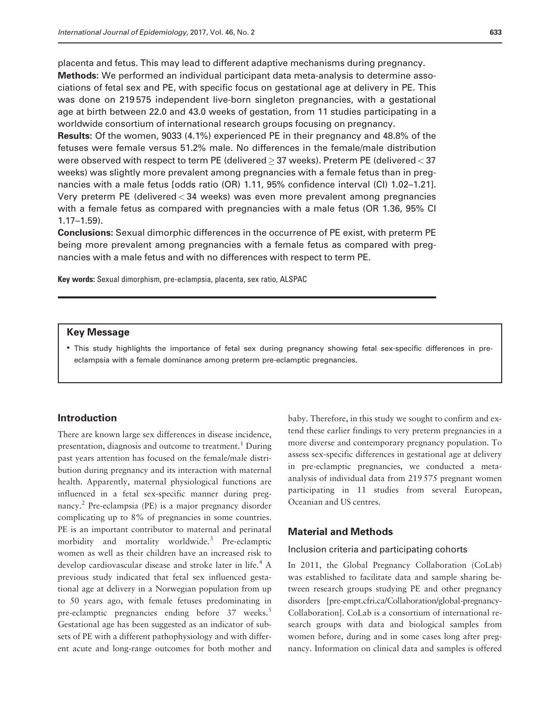placenta and fetus. This may lead to different adaptive mechanisms during pregnancy.

Methods: We performed an individual participant data meta-analysis to determine associations of fetal sex and PE, with specific focus on gestational age at delivery in PE. This was done on 219 575 independent live-born singleton pregnancies, with a gestational age at birth between 22.0 and 43.0 weeks of gestation, from 11 studies participating in a worldwide consortium of international research groups focusing on pregnancy.

Results: Of the women, 9033 (4.1%) experienced PE in their pregnancy and 48.8% of the fetuses were female versus 51.2% male. No differences in the female/male distribution were observed with respect to term PE (delivered  $\geq$  37 weeks). Preterm PE (delivered  $<$  37 weeks) was slightly more prevalent among pregnancies with a female fetus than in pregnancies with a male fetus [odds ratio (OR) 1.11, 95% confidence interval (CI) 1.02–1.21]. Very preterm PE (delivered < 34 weeks) was even more prevalent among pregnancies with a female fetus as compared with pregnancies with a male fetus (OR 1.36, 95% CI 1.17–1.59).

Conclusions: Sexual dimorphic differences in the occurrence of PE exist, with preterm PE being more prevalent among pregnancies with a female fetus as compared with pregnancies with a male fetus and with no differences with respect to term PE.

Key words: Sexual dimorphism, pre-eclampsia, placenta, sex ratio, ALSPAC

#### Key Message

• This study highlights the importance of fetal sex during pregnancy showing fetal sex-specific differences in preeclampsia with a female dominance among preterm pre-eclamptic pregnancies.

## Introduction

There are known large sex differences in disease incidence, presentation, diagnosis and outcome to treatment.<sup>[1](#page-9-0)</sup> During past years attention has focused on the female/male distribution during pregnancy and its interaction with maternal health. Apparently, maternal physiological functions are influenced in a fetal sex-specific manner during pregnancy[.2](#page-9-0) Pre-eclampsia (PE) is a major pregnancy disorder complicating up to 8% of pregnancies in some countries. PE is an important contributor to maternal and perinatal morbidity and mortality worldwide.<sup>3</sup> Pre-eclamptic women as well as their children have an increased risk to develop cardiovascular disease and stroke later in life.<sup>[4](#page-9-0)</sup> A previous study indicated that fetal sex influenced gestational age at delivery in a Norwegian population from up to 50 years ago, with female fetuses predominating in pre-eclamptic pregnancies ending before 37 weeks.<sup>[5](#page-9-0)</sup> Gestational age has been suggested as an indicator of subsets of PE with a different pathophysiology and with different acute and long-range outcomes for both mother and baby. Therefore, in this study we sought to confirm and extend these earlier findings to very preterm pregnancies in a more diverse and contemporary pregnancy population. To assess sex-specific differences in gestational age at delivery in pre-eclamptic pregnancies, we conducted a metaanalysis of individual data from 219 575 pregnant women participating in 11 studies from several European, Oceanian and US centres.

#### Material and Methods

#### Inclusion criteria and participating cohorts

In 2011, the Global Pregnancy Collaboration (CoLab) was established to facilitate data and sample sharing between research groups studying PE and other pregnancy disorders [pre-empt.cfri.ca/Collaboration/global-pregnancy-Collaboration]. CoLab is a consortium of international research groups with data and biological samples from women before, during and in some cases long after pregnancy. Information on clinical data and samples is offered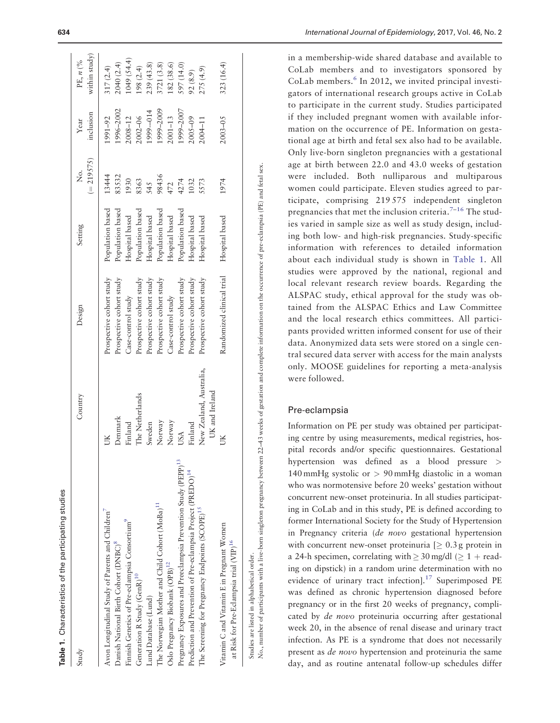| Country<br>Study                                                                                                                                                                                                                                                                                                                                                                                                                                                                                                                                                                                                                                                                                                                                                                                                         | Design                                                                                                                                                                                                                                                                                                | Setting                                                                                                                                                                                                      | $(= 219575)$<br>ş<br>Ž                                                                | inclusion<br>Year                                                                                                                            | within study)<br>PE, n (%                                                                                                                    |
|--------------------------------------------------------------------------------------------------------------------------------------------------------------------------------------------------------------------------------------------------------------------------------------------------------------------------------------------------------------------------------------------------------------------------------------------------------------------------------------------------------------------------------------------------------------------------------------------------------------------------------------------------------------------------------------------------------------------------------------------------------------------------------------------------------------------------|-------------------------------------------------------------------------------------------------------------------------------------------------------------------------------------------------------------------------------------------------------------------------------------------------------|--------------------------------------------------------------------------------------------------------------------------------------------------------------------------------------------------------------|---------------------------------------------------------------------------------------|----------------------------------------------------------------------------------------------------------------------------------------------|----------------------------------------------------------------------------------------------------------------------------------------------|
| New Zealand, Australia,<br>UK and Ireland<br>The Netherlands<br>Denmark<br>Norway<br>Finland<br>Norway<br>Sweden<br>Finland<br>USA<br>ŰК<br>Pregnancy Exposures and Preeclampsia Prevention Study (PEPP) <sup>13</sup><br>Prediction and Prevention of Pre-eclampsia Project (PREDO) <sup>14</sup><br>The Norwegian Mother and Child Cohort (MoBa) <sup>11</sup><br>The Screening for Pregnancy Endpoints (SCOPE) <sup>15</sup><br>Avon Longitudinal Study of Parents and Children<br>Finnish Genetics of Pre-eclampsia Consortium <sup>7</sup><br>Vitamin C and Vitamin E in Pregnant Women<br>at Risk for Pre-Eclampsia trial (VIP) <sup>16</sup><br>Danish National Birth Cohort (DNBC) <sup>8</sup><br>Oslo Pregnancy Biobank (OPB) <sup>12</sup><br>Generation R Study (GenR) <sup>10</sup><br>Lund Database (Lund) | Randomized clinical trial<br>Prospective cohort study<br>Prospective cohort study<br>Prospective cohort study<br>Prospective cohort study<br>Prospective cohort study<br>Prospective cohort study<br>Prospective cohort study<br>Prospective cohort study<br>Case-control study<br>Case-control study | Population based<br>Population based<br>Population based<br>Population based<br>Population based<br>Hospital based<br>Hospital based<br>Hospital based<br>Hospital based<br>Hospital based<br>Hospital based | 13444<br>83532<br>98436<br>1930<br>8363<br>1974<br>4274<br>1032<br>5573<br>545<br>472 | 1999-2007<br>1996-2002<br>1999-2009<br>1999-014<br>2008-12<br>2002-06<br>$2001 - 13$<br>$2005 - 09$<br>1991-92<br>$2003 - 05$<br>$2004 - 11$ | 1049 (54.4)<br>2040 (2.4)<br>182(38.6)<br>3721 (3.8)<br>323(16.4)<br>239(43.8)<br>597 (14.0)<br>317(2.4)<br>(98(2.4)<br>275 (4.9)<br>92(8.9) |
|                                                                                                                                                                                                                                                                                                                                                                                                                                                                                                                                                                                                                                                                                                                                                                                                                          |                                                                                                                                                                                                                                                                                                       |                                                                                                                                                                                                              |                                                                                       |                                                                                                                                              |                                                                                                                                              |

Vo., number of participants with a live-born singleton pregnancy between 22–43 weeks of gestation and complete information on the occurrence of pre-eclampsia (PE) and fetal sex. No., number of participants with a live-born singleton pregnancy between 22–43 weeks of gestation and complete information on the occurrence of pre-eclampsia (PE) and fetal sex. Studies are listed in alphabetical order. Studies are listed in alphabetical order.

CoLab members. [6](#page-9-0) In 2012, we invited principal investigators of international research groups active in CoLab to participate in the current study. Studies participated if they included pregnant women with available information on the occurrence of PE. Information on gestational age at birth and fetal sex also had to be available. Only live-born singleton pregnancies with a gestational age at birth between 22.0 and 43.0 weeks of gestation were included. Both nulliparous and multiparous women could participate. Eleven studies agreed to participate, comprising 219 575 independent singleton pregnancies that met the inclusion criteria.<sup>[7](#page-9-0)-[16](#page-9-0)</sup> The studies varied in sample size as well as study design, including both low- and high-risk pregnancies. Study-specific information with references to detailed information about each individual study is shown in Table 1. All studies were approved by the national, regional and local relevant research review boards. Regarding the ALSPAC study, ethical approval for the study was obtained from the ALSPAC Ethics and Law Committee and the local research ethics committees. All participants provided written informed consent for use of their data. Anonymized data sets were stored on a single central secured data server with access for the main analysts only. MOOSE guidelines for reporting a meta-analysis were followed.

## Pre-eclampsia

Information on PE per study was obtained per participating centre by using measurements, medical registries, hospital records and/or specific questionnaires. Gestational hypertension was defined as a blood pressure > 140 mmHg systolic or > 90 mmHg diastolic in a woman who was normotensive before 20 weeks' gestation without concurrent new-onset proteinuria. In all studies participating in CoLab and in this study, PE is defined according to former International Society for the Study of Hypertension in Pregnancy criteria (de novo gestational hypertension with concurrent new-onset proteinuria  $[ \geq 0.3$  g protein in a 24-h specimen, correlating with  $\geq 30$  mg/dl ( $\geq 1$  + reading on dipstick) in a random urine determination with no evidence of urinary tract infection].<sup>[17](#page-9-0)</sup> Superimposed PE was defined as chronic hypertension diagnosed before pregnancy or in the first 20 weeks of pregnancy, complicated by de novo proteinuria occurring after gestational week 20, in the absence of renal disease and urinary tract infection. As PE is a syndrome that does not necessarily present as de novo hypertension and proteinuria the same day, and as routine antenatal follow-up schedules differ

Table 1. Characteristics of the participating studies

Characteristics of the participating studies

in a membership-wide shared database and available to CoLab members and to investigators sponsored by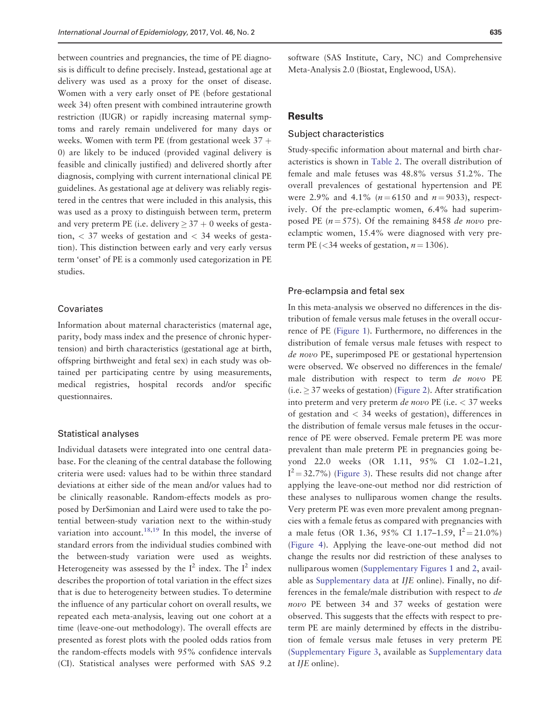between countries and pregnancies, the time of PE diagnosis is difficult to define precisely. Instead, gestational age at delivery was used as a proxy for the onset of disease. Women with a very early onset of PE (before gestational week 34) often present with combined intrauterine growth restriction (IUGR) or rapidly increasing maternal symptoms and rarely remain undelivered for many days or weeks. Women with term PE (from gestational week  $37 +$ 0) are likely to be induced (provided vaginal delivery is feasible and clinically justified) and delivered shortly after diagnosis, complying with current international clinical PE guidelines. As gestational age at delivery was reliably registered in the centres that were included in this analysis, this was used as a proxy to distinguish between term, preterm and very preterm PE (i.e. delivery  $\geq 37 + 0$  weeks of gestation,  $\langle 37 \rangle$  weeks of gestation and  $\langle 34 \rangle$  weeks of gestation). This distinction between early and very early versus term 'onset' of PE is a commonly used categorization in PE studies.

## Covariates

Information about maternal characteristics (maternal age, parity, body mass index and the presence of chronic hypertension) and birth characteristics (gestational age at birth, offspring birthweight and fetal sex) in each study was obtained per participating centre by using measurements, medical registries, hospital records and/or specific questionnaires.

## Statistical analyses

Individual datasets were integrated into one central database. For the cleaning of the central database the following criteria were used: values had to be within three standard deviations at either side of the mean and/or values had to be clinically reasonable. Random-effects models as proposed by DerSimonian and Laird were used to take the potential between-study variation next to the within-study variation into account.<sup>[18,19](#page-9-0)</sup> In this model, the inverse of standard errors from the individual studies combined with the between-study variation were used as weights. Heterogeneity was assessed by the  $I^2$  index. The  $I^2$  index describes the proportion of total variation in the effect sizes that is due to heterogeneity between studies. To determine the influence of any particular cohort on overall results, we repeated each meta-analysis, leaving out one cohort at a time (leave-one-out methodology). The overall effects are presented as forest plots with the pooled odds ratios from the random-effects models with 95% confidence intervals (CI). Statistical analyses were performed with SAS 9.2

software (SAS Institute, Cary, NC) and Comprehensive Meta-Analysis 2.0 (Biostat, Englewood, USA).

## **Results**

#### Subject characteristics

Study-specific information about maternal and birth characteristics is shown in [Table 2.](#page-4-0) The overall distribution of female and male fetuses was 48.8% versus 51.2%. The overall prevalences of gestational hypertension and PE were 2.9% and 4.1% ( $n = 6150$  and  $n = 9033$ ), respectively. Of the pre-eclamptic women, 6.4% had superimposed PE ( $n = 575$ ). Of the remaining 8458 de novo preeclamptic women, 15.4% were diagnosed with very preterm PE (<34 weeks of gestation,  $n = 1306$ ).

#### Pre-eclampsia and fetal sex

In this meta-analysis we observed no differences in the distribution of female versus male fetuses in the overall occurrence of PE [\(Figure 1\)](#page-5-0). Furthermore, no differences in the distribution of female versus male fetuses with respect to de novo PE, superimposed PE or gestational hypertension were observed. We observed no differences in the female/ male distribution with respect to term de novo PE  $(i.e. \geq 37$  weeks of gestation) ([Figure 2](#page-5-0)). After stratification into preterm and very preterm *de novo* PE (i.e.  $<$  37 weeks of gestation and < 34 weeks of gestation), differences in the distribution of female versus male fetuses in the occurrence of PE were observed. Female preterm PE was more prevalent than male preterm PE in pregnancies going beyond 22.0 weeks (OR 1.11, 95% CI 1.02–1.21,  $I^2$  = 32.7%) ([Figure 3](#page-6-0)). These results did not change after applying the leave-one-out method nor did restriction of these analyses to nulliparous women change the results. Very preterm PE was even more prevalent among pregnancies with a female fetus as compared with pregnancies with a male fetus (OR 1.36, 95% CI 1.17-1.59,  $I^2 = 21.0\%$ ) [\(Figure 4\)](#page-7-0). Applying the leave-one-out method did not change the results nor did restriction of these analyses to nulliparous women ([Supplementary Figures 1](http://ije.oxfordjournals.org/lookup/suppl/doi:10.1093/ije/dyw178/-/DC1) and [2,](http://ije.oxfordjournals.org/lookup/suppl/doi:10.1093/ije/dyw178/-/DC1) available as [Supplementary data](http://ije.oxfordjournals.org/lookup/suppl/doi:10.1093/ije/dyw178/-/DC1) at IJE online). Finally, no differences in the female/male distribution with respect to de novo PE between 34 and 37 weeks of gestation were observed. This suggests that the effects with respect to preterm PE are mainly determined by effects in the distribution of female versus male fetuses in very preterm PE [\(Supplementary Figure 3,](http://ije.oxfordjournals.org/lookup/suppl/doi:10.1093/ije/dyw178/-/DC1) available as [Supplementary data](http://ije.oxfordjournals.org/lookup/suppl/doi:10.1093/ije/dyw178/-/DC1) at IJE online).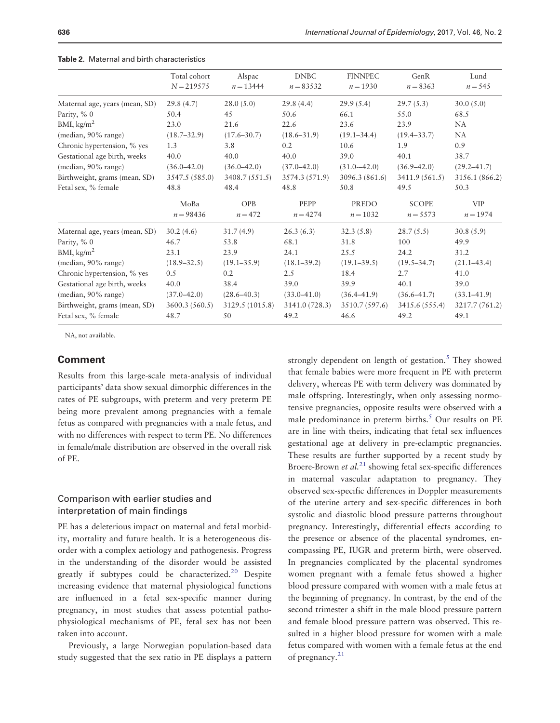|                                | Total cohort<br>$N = 219575$ | Alspac<br>$n = 13444$ | <b>DNBC</b><br>$n = 83532$ | <b>FINNPEC</b><br>$n = 1930$ | GenR<br>$n = 8363$  | Lund<br>$n = 545$        |
|--------------------------------|------------------------------|-----------------------|----------------------------|------------------------------|---------------------|--------------------------|
| Maternal age, years (mean, SD) | 29.8(4.7)                    | 28.0(5.0)             | 29.8(4.4)                  | 29.9(5.4)                    | 29.7(5.3)           | 30.0(5.0)                |
| Parity, % 0                    | 50.4                         | 45                    | 50.6                       | 66.1                         | 55.0                | 68.5                     |
| BMI, $\text{kg/m}^2$           | 23.0                         | 21.6                  | 22.6                       | 23.6                         | 23.9                | <b>NA</b>                |
| (median, 90% range)            | $(18.7 - 32.9)$              | $(17.6 - 30.7)$       | $(18.6 - 31.9)$            | $(19.1 - 34.4)$              | $(19.4 - 33.7)$     | <b>NA</b>                |
| Chronic hypertension, % yes    | 1.3                          | 3.8                   | 0.2                        | 10.6                         | 1.9                 | 0.9                      |
| Gestational age birth, weeks   | 40.0                         | 40.0                  | 40.0                       | 39.0                         | 40.1                | 38.7                     |
| (median, 90% range)            | $(36.0 - 42.0)$              | $(36.0 - 42.0)$       | $(37.0 - 42.0)$            | $(31.0 - 42.0)$              | $(36.9 - 42.0)$     | $(29.2 - 41.7)$          |
| Birthweight, grams (mean, SD)  | 3547.5 (585.0)               | 3408.7 (551.5)        | 3574.3 (571.9)             | 3096.3 (861.6)               | 3411.9(561.5)       | 3156.1 (866.2)           |
| Fetal sex, % female            | 48.8                         | 48.4                  | 48.8                       | 50.8                         | 49.5                | 50.3                     |
|                                | MoBa<br>$n = 98436$          | OPB<br>$n = 472$      | PEPP<br>$n = 4274$         | PREDO<br>$n = 1032$          | SCOPE<br>$n = 5573$ | <b>VIP</b><br>$n = 1974$ |
| Maternal age, years (mean, SD) | 30.2(4.6)                    | 31.7(4.9)             | 26.3(6.3)                  | 32.3(5.8)                    | 28.7(5.5)           | 30.8(5.9)                |
| Parity, % 0                    | 46.7                         | 53.8                  | 68.1                       | 31.8                         | 100                 | 49.9                     |
| BMI, kg/m <sup>2</sup>         | 23.1                         | 23.9                  | 24.1                       | 25.5                         | 24.2                | 31.2                     |
| (median, 90% range)            | $(18.9 - 32.5)$              | $(19.1 - 35.9)$       | $(18.1 - 39.2)$            | $(19.1 - 39.5)$              | $(19.5 - 34.7)$     | $(21.1 - 43.4)$          |
| Chronic hypertension, % yes    | 0.5                          | 0.2                   | 2.5                        | 18.4                         | 2.7                 | 41.0                     |
| Gestational age birth, weeks   | 40.0                         | 38.4                  | 39.0                       | 39.9                         | 40.1                | 39.0                     |
| (median, 90% range)            | $(37.0 - 42.0)$              | $(28.6 - 40.3)$       | $(33.0 - 41.0)$            | $(36.4 - 41.9)$              | $(36.6 - 41.7)$     | $(33.1 - 41.9)$          |
| Birthweight, grams (mean, SD)  | 3600.3 (560.5)               | 3129.5 (1015.8)       | 3141.0 (728.3)             | 3510.7 (597.6)               | 3415.6 (555.4)      | 3217.7 (761.2)           |
| Fetal sex, % female            | 48.7                         | 50                    | 49.2                       | 46.6                         | 49.2                | 49.1                     |

#### <span id="page-4-0"></span>Table 2. Maternal and birth characteristics

NA, not available.

## Comment

Results from this large-scale meta-analysis of individual participants' data show sexual dimorphic differences in the rates of PE subgroups, with preterm and very preterm PE being more prevalent among pregnancies with a female fetus as compared with pregnancies with a male fetus, and with no differences with respect to term PE. No differences in female/male distribution are observed in the overall risk of PE.

## Comparison with earlier studies and interpretation of main findings

PE has a deleterious impact on maternal and fetal morbidity, mortality and future health. It is a heterogeneous disorder with a complex aetiology and pathogenesis. Progress in the understanding of the disorder would be assisted greatly if subtypes could be characterized.<sup>[20](#page-9-0)</sup> Despite increasing evidence that maternal physiological functions are influenced in a fetal sex-specific manner during pregnancy, in most studies that assess potential pathophysiological mechanisms of PE, fetal sex has not been taken into account.

Previously, a large Norwegian population-based data study suggested that the sex ratio in PE displays a pattern strongly dependent on length of gestation.<sup>[5](#page-9-0)</sup> They showed that female babies were more frequent in PE with preterm delivery, whereas PE with term delivery was dominated by male offspring. Interestingly, when only assessing normotensive pregnancies, opposite results were observed with a male predominance in preterm births.<sup>[5](#page-9-0)</sup> Our results on PE are in line with theirs, indicating that fetal sex influences gestational age at delivery in pre-eclamptic pregnancies. These results are further supported by a recent study by Broere-Brown *et al.*<sup>[21](#page-9-0)</sup> showing fetal sex-specific differences in maternal vascular adaptation to pregnancy. They observed sex-specific differences in Doppler measurements of the uterine artery and sex-specific differences in both systolic and diastolic blood pressure patterns throughout pregnancy. Interestingly, differential effects according to the presence or absence of the placental syndromes, encompassing PE, IUGR and preterm birth, were observed. In pregnancies complicated by the placental syndromes women pregnant with a female fetus showed a higher blood pressure compared with women with a male fetus at the beginning of pregnancy. In contrast, by the end of the second trimester a shift in the male blood pressure pattern and female blood pressure pattern was observed. This resulted in a higher blood pressure for women with a male fetus compared with women with a female fetus at the end of pregnancy.<sup>21</sup>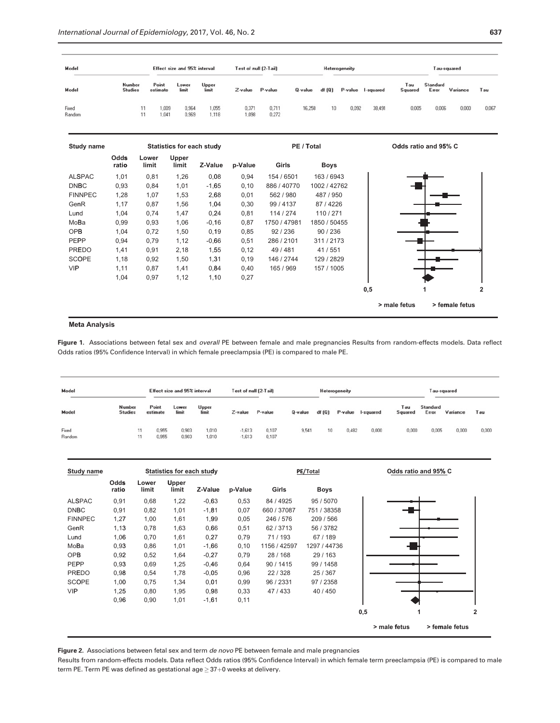<span id="page-5-0"></span>

| Model           |                          | Effect size and 95% interval |                |                | Test of null (2-Tail) |                |            |       | Heterogeneity |           |                | Tau-squared              |          |       |
|-----------------|--------------------------|------------------------------|----------------|----------------|-----------------------|----------------|------------|-------|---------------|-----------|----------------|--------------------------|----------|-------|
| Model           | Number<br><b>Studies</b> | Point<br>estimate            | Lower<br>limit | Upper<br>limit | Z-value               | P-value        | $Q$ -value | df(Q) | P-value       | I-squared | Tau<br>Squared | <b>Standard</b><br>Error | Variance | Tau   |
| Fixed<br>Random |                          | ,009<br>1.041                | 0,964<br>0,969 | 1,055<br>1,118 | 0,371<br>1,098        | 0,711<br>0,272 | 16,258     | 10    | 0,092         | 38,491    | 0,005          | 0,006                    | 0,000    | 0,067 |



#### **Met ta Analysis**

Figure 1. Associations between fetal sex and overall PE between female and male pregnancies Results from random-effects models. Data reflect Odds ratios (95% Confidence Interval) in which female preeclampsia (PE) is compared to male PE.

| Model           |                          | Effect size and 95% interval |                |                | Test of null (2-Tail) |                |         |                  | Heterogeneity |           |                | Tau-squared       |          |       |  |
|-----------------|--------------------------|------------------------------|----------------|----------------|-----------------------|----------------|---------|------------------|---------------|-----------|----------------|-------------------|----------|-------|--|
| Model           | Number<br><b>Studies</b> | Point<br>estimate            | Lower<br>limit | Upper<br>limit | Z-value               | P-value        | Q-value | df (Q)           | P-value       | I-squared | Tau<br>Squared | Standard<br>Error | Variance | Tau   |  |
| Fixed<br>Random | 11<br>11                 | 0.955<br>0,955               | 0.903<br>0,903 | 1,010<br>1,010 | $-1.613$<br>$-1,613$  | 0.107<br>0,107 | 9,541   | 10 <sup>10</sup> | 0,482         | 0.000     | 0,000          | 0,005             | 0,000    | 0,000 |  |

| <b>Study name</b> | <b>Statistics for each study</b> |                |                       |         |         | PE/Total     |              |              |                |  |  |  |  |  |
|-------------------|----------------------------------|----------------|-----------------------|---------|---------|--------------|--------------|--------------|----------------|--|--|--|--|--|
|                   | Odds<br>ratio                    | Lower<br>limit | <b>Upper</b><br>limit | Z-Value | p-Value | Girls        | Boys         |              |                |  |  |  |  |  |
| <b>ALSPAC</b>     | 0,91                             | 0,68           | 1,22                  | $-0.63$ | 0,53    | 84 / 4925    | 95 / 5070    |              |                |  |  |  |  |  |
| <b>DNBC</b>       | 0,91                             | 0,82           | 1,01                  | $-1,81$ | 0,07    | 660 / 37087  | 751 / 38358  |              |                |  |  |  |  |  |
| <b>FINNPEC</b>    | 1,27                             | 1,00           | 1,61                  | 1,99    | 0,05    | 246 / 576    | 209 / 566    |              |                |  |  |  |  |  |
| GenR              | 1,13                             | 0,78           | 1,63                  | 0,66    | 0,51    | 62/3713      | 56 / 3782    |              |                |  |  |  |  |  |
| Lund              | 1,06                             | 0,70           | 1,61                  | 0,27    | 0,79    | 71/193       | 67/189       |              |                |  |  |  |  |  |
| MoBa              | 0,93                             | 0,86           | 1,01                  | $-1,66$ | 0,10    | 1156 / 42597 | 1297 / 44736 |              |                |  |  |  |  |  |
| <b>OPB</b>        | 0,92                             | 0,52           | 1,64                  | $-0.27$ | 0,79    | 28/168       | 29/163       |              |                |  |  |  |  |  |
| PEPP              | 0,93                             | 0,69           | 1,25                  | $-0,46$ | 0,64    | 90/1415      | 99 / 1458    |              |                |  |  |  |  |  |
| <b>PREDO</b>      | 0,98                             | 0,54           | 1,78                  | $-0.05$ | 0,96    | 22/328       | 25 / 367     |              |                |  |  |  |  |  |
| <b>SCOPE</b>      | 1,00                             | 0,75           | 1,34                  | 0,01    | 0,99    | 96 / 2331    | 97 / 2358    |              |                |  |  |  |  |  |
| <b>VIP</b>        | 1,25                             | 0,80           | 1,95                  | 0,98    | 0,33    | 47/433       | 40/450       |              |                |  |  |  |  |  |
|                   | 0,96                             | 0,90           | 1,01                  | $-1,61$ | 0,11    |              |              |              |                |  |  |  |  |  |
|                   |                                  |                |                       |         |         |              |              | 0,5<br>1     |                |  |  |  |  |  |
|                   |                                  |                |                       |         |         |              |              | > male fetus | > female fetus |  |  |  |  |  |

Figure 2. Associations between fetal sex and term de novo PE between female and male pregnancies

Results from random-effects models. Data reflect Odds ratios (95% Confidence Interval) in which female term preeclampsia (PE) is compared to male term PE. Term PE was defined as gestational age  $\geq$  37 $+$ 0 weeks at delivery.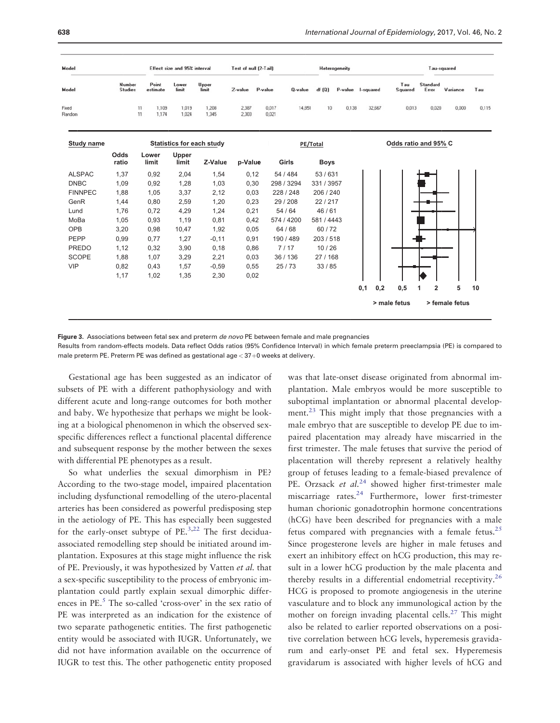<span id="page-6-0"></span>

| Model           |                          | Effect size and 95% interval |                                  | Test of null (2-Tail)<br>Heterogeneity |                |                |            |             |         |           |        | Tau-squared          |                     |                |       |  |  |
|-----------------|--------------------------|------------------------------|----------------------------------|----------------------------------------|----------------|----------------|------------|-------------|---------|-----------|--------|----------------------|---------------------|----------------|-------|--|--|
| Model           | Number<br><b>Studies</b> | Point<br>estimate            | Lower<br>limit                   | Upper<br>limit                         | Z-value        | P-value        | Q-value    | df(Q)       | P-value | I-squared |        | Tau<br>Squared       | Standard<br>Error   | Variance       | Tau   |  |  |
| Fixed<br>Random |                          | 11<br>1,109<br>11<br>1,174   | 1,019<br>1.024                   | 1,208<br>1,345                         | 2,387<br>2,303 | 0,017<br>0.021 | 14,851     | 10          | 0.138   |           | 32,667 | 0.013                | 0.020               | 0.000          | 0,115 |  |  |
| Study name      |                          |                              | <b>Statistics for each study</b> |                                        |                | PE/Total       |            |             |         |           |        | Odds ratio and 95% C |                     |                |       |  |  |
|                 | Odds<br>ratio            | Lower<br>limit               | Upper<br>limit                   | Z-Value                                | p-Value        |                | Girls      | <b>Boys</b> |         |           |        |                      |                     |                |       |  |  |
| <b>ALSPAC</b>   | 1,37                     | 0,92                         | 2,04                             | 1,54                                   | 0,12           |                | 54 / 484   | 53/631      |         |           |        |                      |                     |                |       |  |  |
| <b>DNBC</b>     | 1,09                     | 0,92                         | 1,28                             | 1,03                                   | 0,30           |                | 298 / 3294 | 331 / 3957  |         |           |        |                      |                     |                |       |  |  |
| <b>FINNPEC</b>  | 1,88                     | 1,05                         | 3,37                             | 2,12                                   | 0,03           |                | 228 / 248  | 206 / 240   |         |           |        |                      |                     |                |       |  |  |
| GenR            | 1,44                     | 0.80                         | 2,59                             | 1,20                                   | 0,23           |                | 29 / 208   | 22/217      |         |           |        |                      |                     |                |       |  |  |
| Lund            | 1,76                     | 0.72                         | 4,29                             | 1,24                                   | 0,21           |                | 54 / 64    | 46/61       |         |           |        |                      |                     |                |       |  |  |
| MoBa            | 1,05                     | 0.93                         | 1,19                             | 0,81                                   | 0,42           |                | 574 / 4200 | 581/4443    |         |           |        |                      |                     |                |       |  |  |
| <b>OPB</b>      | 3,20                     | 0.98                         | 10,47                            | 1,92                                   | 0,05           |                | 64/68      | 60/72       |         |           |        |                      |                     |                |       |  |  |
| PEPP            | 0,99                     | 0.77                         | 1,27                             | $-0,11$                                | 0,91           |                | 190/489    | 203/518     |         |           |        |                      |                     |                |       |  |  |
| <b>PREDO</b>    | 1,12                     | 0.32                         | 3,90                             | 0,18                                   | 0,86           |                | 7/17       | 10/26       |         |           |        |                      |                     |                |       |  |  |
| <b>SCOPE</b>    | 1,88                     | 1,07                         | 3,29                             | 2,21                                   | 0,03           |                | 36/136     | 27/168      |         |           |        |                      |                     |                |       |  |  |
| <b>VIP</b>      | 0,82                     | 0.43                         | 1,57                             | $-0,59$                                | 0,55           |                | 25/73      | 33/85       |         |           |        |                      |                     |                |       |  |  |
|                 | 1,17                     | 1,02                         | 1,35                             | 2,30                                   | 0,02           |                |            |             |         |           |        |                      |                     |                |       |  |  |
|                 |                          |                              |                                  |                                        |                |                |            |             |         | 0.1       | 0.2    | 0,5                  | $\overline{2}$<br>1 | 5              | 10    |  |  |
|                 |                          |                              |                                  |                                        |                |                |            |             |         |           |        | > male fetus         |                     | > female fetus |       |  |  |

Figure 3. Associations between fetal sex and preterm de novo PE between female and male pregnancies

Results from random-effects models. Data reflect Odds ratios (95% Confidence Interval) in which female preterm preeclampsia (PE) is compared to male preterm PE. Preterm PE was defined as gestational age  $<$  37+0 weeks at delivery.

Gestational age has been suggested as an indicator of subsets of PE with a different pathophysiology and with different acute and long-range outcomes for both mother and baby. We hypothesize that perhaps we might be looking at a biological phenomenon in which the observed sexspecific differences reflect a functional placental difference and subsequent response by the mother between the sexes with differential PE phenotypes as a result.

So what underlies the sexual dimorphism in PE? According to the two-stage model, impaired placentation including dysfunctional remodelling of the utero-placental arteries has been considered as powerful predisposing step in the aetiology of PE. This has especially been suggested for the early-onset subtype of PE[.3,22](#page-9-0) The first deciduaassociated remodelling step should be initiated around implantation. Exposures at this stage might influence the risk of PE. Previously, it was hypothesized by Vatten et al. that a sex-specific susceptibility to the process of embryonic implantation could partly explain sexual dimorphic differ-ences in PE.<sup>[5](#page-9-0)</sup> The so-called 'cross-over' in the sex ratio of PE was interpreted as an indication for the existence of two separate pathogenetic entities. The first pathogenetic entity would be associated with IUGR. Unfortunately, we did not have information available on the occurrence of IUGR to test this. The other pathogenetic entity proposed

was that late-onset disease originated from abnormal implantation. Male embryos would be more susceptible to suboptimal implantation or abnormal placental develop-ment.<sup>[23](#page-9-0)</sup> This might imply that those pregnancies with a male embryo that are susceptible to develop PE due to impaired placentation may already have miscarried in the first trimester. The male fetuses that survive the period of placentation will thereby represent a relatively healthy group of fetuses leading to a female-biased prevalence of PE. Orzsack et  $al.^{24}$  $al.^{24}$  $al.^{24}$  showed higher first-trimester male miscarriage rates.[24](#page-9-0) Furthermore, lower first-trimester human chorionic gonadotrophin hormone concentrations (hCG) have been described for pregnancies with a male fetus compared with pregnancies with a female fetus.<sup>25</sup> Since progesterone levels are higher in male fetuses and exert an inhibitory effect on hCG production, this may result in a lower hCG production by the male placenta and thereby results in a differential endometrial receptivity.[26](#page-9-0) HCG is proposed to promote angiogenesis in the uterine vasculature and to block any immunological action by the mother on foreign invading placental cells.[27](#page-9-0) This might also be related to earlier reported observations on a positive correlation between hCG levels, hyperemesis gravidarum and early-onset PE and fetal sex. Hyperemesis gravidarum is associated with higher levels of hCG and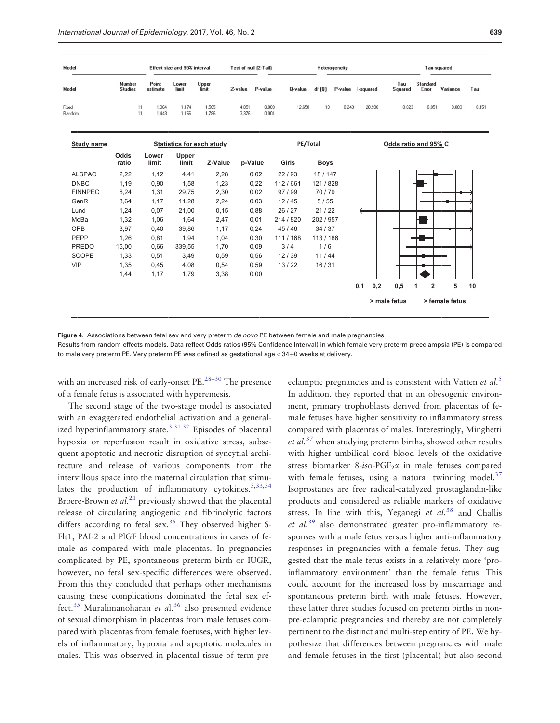<span id="page-7-0"></span>

| Model             |                          |                   | Effect size and 95% interval |                                  | Test of null (2-Tail) |                | Heterogeneity |             |                   |        |     |                      |                   | Tau-squared    |       |  |
|-------------------|--------------------------|-------------------|------------------------------|----------------------------------|-----------------------|----------------|---------------|-------------|-------------------|--------|-----|----------------------|-------------------|----------------|-------|--|
| Model             | Number<br><b>Studies</b> | Point<br>estimate | Lower<br>limit               | Upper<br>limit                   | Z-value               | P-value        | Q-value       | df(0)       | P-value I-squared |        |     | Tau<br>Squared       | Standard<br>Error | Variance       | Tau   |  |
| Fixed<br>Random   | 11<br>11                 | 1,364<br>1,443    | 1,174<br>1,166               | 1,585<br>1,786                   | 4,051<br>3,376        | 0,000<br>0,001 | 12,658        | 10          | 0,243             | 20,998 |     | 0,023                | 0.051             | 0,003          | 0,151 |  |
| <b>Study name</b> |                          |                   |                              | <b>Statistics for each study</b> |                       |                | PE/Total      |             |                   |        |     | Odds ratio and 95% C |                   |                |       |  |
|                   | Odds<br>ratio            | Lower<br>limit    | Upper<br>limit               | Z-Value                          |                       | p-Value        | Girls         | <b>Boys</b> |                   |        |     |                      |                   |                |       |  |
| <b>ALSPAC</b>     | 2.22                     | 1,12              | 4.41                         | 2,28                             |                       | 0.02           | 22/93         | 18/147      |                   |        |     |                      |                   |                |       |  |
| <b>DNBC</b>       | 1.19                     | 0,90              | 1.58                         | 1.23                             |                       | 0.22           | 112/661       | 121/828     |                   |        |     |                      |                   |                |       |  |
| <b>FINNPEC</b>    | 6,24                     | 1,31              | 29.75                        | 2.30                             |                       | 0.02           | 97/99         | 70/79       |                   |        |     |                      |                   |                |       |  |
| GenR              | 3.64                     | 1,17              | 11.28                        | 2,24                             |                       | 0.03           | 12/45         | 5/55        |                   |        |     |                      |                   |                |       |  |
| Lund              | 1.24                     | 0,07              | 21,00                        | 0.15                             |                       | 0.88           | 26 / 27       | 21/22       |                   |        |     |                      |                   |                |       |  |
| MoBa              | 1,32                     | 1,06              | 1,64                         | 2,47                             |                       | 0.01           | 214 / 820     | 202 / 957   |                   |        |     |                      |                   |                |       |  |
| <b>OPB</b>        | 3,97                     | 0,40              | 39,86                        | 1,17                             |                       | 0,24           | 45/46         | 34/37       |                   |        |     |                      |                   |                |       |  |
| <b>PEPP</b>       | 1,26                     | 0,81              | 1,94                         | 1,04                             |                       | 0,30           | 111/168       | 113/186     |                   |        |     |                      |                   |                |       |  |
| <b>PREDO</b>      | 15,00                    | 0,66              | 339,55                       | 1,70                             |                       | 0,09           | 3/4           | 1/6         |                   |        |     |                      |                   |                |       |  |
| <b>SCOPE</b>      | 1,33                     | 0,51              | 3,49                         | 0,59                             |                       | 0,56           | 12/39         | 11/44       |                   |        |     |                      |                   |                |       |  |
| <b>VIP</b>        | 1,35                     | 0,45              | 4,08                         | 0,54                             |                       | 0.59           | 13/22         | 16/31       |                   |        |     |                      |                   |                |       |  |
|                   | 1,44                     | 1,17              | 1,79                         | 3,38                             |                       | 0,00           |               |             |                   |        |     |                      |                   |                |       |  |
|                   |                          |                   |                              |                                  |                       |                |               |             |                   | 0,1    | 0,2 | 0,5                  | 2<br>1            | 5              | 10    |  |
|                   |                          |                   |                              |                                  |                       |                |               |             |                   |        |     | > male fetus         |                   | > female fetus |       |  |

Figure 4. Associations between fetal sex and very preterm de novo PE between female and male pregnancies

Results from random-effects models. Data reflect Odds ratios (95% Confidence Interval) in which female very preterm preeclampsia (PE) is compared to male very preterm PE. Very preterm PE was defined as gestational age  $<$  34+0 weeks at delivery.

with an increased risk of early-onset PE.<sup>[28](#page-9-0)–[30](#page-10-0)</sup> The presence of a female fetus is associated with hyperemesis.

The second stage of the two-stage model is associated with an exaggerated endothelial activation and a general-ized hyperinflammatory state.<sup>[3](#page-9-0)[,31,32](#page-10-0)</sup> Episodes of placental hypoxia or reperfusion result in oxidative stress, subsequent apoptotic and necrotic disruption of syncytial architecture and release of various components from the intervillous space into the maternal circulation that stimulates the production of inflammatory cytokines. $3,33,34$  $3,33,34$ Broere-Brown et  $al^{21}$  $al^{21}$  $al^{21}$  previously showed that the placental release of circulating angiogenic and fibrinolytic factors differs according to fetal  $sex.^{35}$  $sex.^{35}$  $sex.^{35}$  They observed higher S-Flt1, PAI-2 and PlGF blood concentrations in cases of female as compared with male placentas. In pregnancies complicated by PE, spontaneous preterm birth or IUGR, however, no fetal sex-specific differences were observed. From this they concluded that perhaps other mechanisms causing these complications dominated the fetal sex ef-fect.<sup>35</sup> Muralimanoharan et al.<sup>[36](#page-10-0)</sup> also presented evidence of sexual dimorphism in placentas from male fetuses compared with placentas from female foetuses, with higher levels of inflammatory, hypoxia and apoptotic molecules in males. This was observed in placental tissue of term preeclamptic pregnancies and is consistent with Vatten et al.<sup>[5](#page-9-0)</sup> In addition, they reported that in an obesogenic environment, primary trophoblasts derived from placentas of female fetuses have higher sensitivity to inflammatory stress compared with placentas of males. Interestingly, Minghetti et al.<sup>[37](#page-10-0)</sup> when studying preterm births, showed other results with higher umbilical cord blood levels of the oxidative stress biomarker 8-iso-PGF<sub>2</sub> $\alpha$  in male fetuses compared with female fetuses, using a natural twinning model. $37$ Isoprostanes are free radical-catalyzed prostaglandin-like products and considered as reliable markers of oxidative stress. In line with this, Yeganegi et  $al^{38}$  $al^{38}$  $al^{38}$  and Challis et al.[39](#page-10-0) also demonstrated greater pro-inflammatory responses with a male fetus versus higher anti-inflammatory responses in pregnancies with a female fetus. They suggested that the male fetus exists in a relatively more 'proinflammatory environment' than the female fetus. This could account for the increased loss by miscarriage and spontaneous preterm birth with male fetuses. However, these latter three studies focused on preterm births in nonpre-eclamptic pregnancies and thereby are not completely pertinent to the distinct and multi-step entity of PE. We hypothesize that differences between pregnancies with male and female fetuses in the first (placental) but also second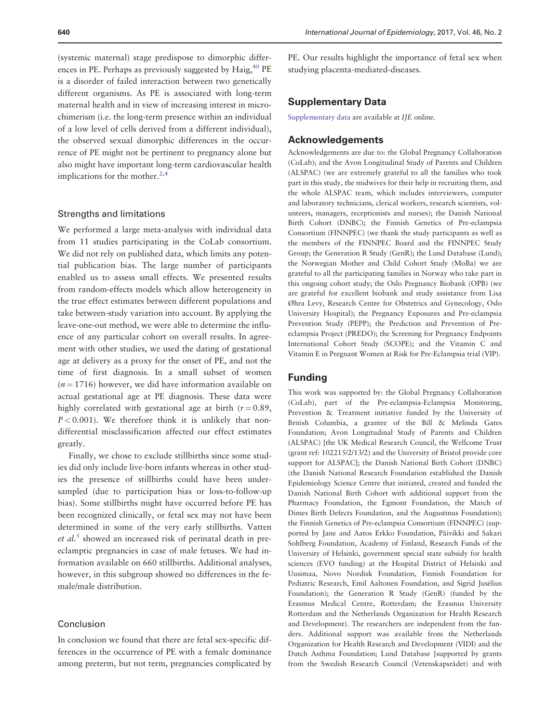(systemic maternal) stage predispose to dimorphic differences in PE. Perhaps as previously suggested by  $Haig<sub>1</sub><sup>40</sup>PE$ is a disorder of failed interaction between two genetically different organisms. As PE is associated with long-term maternal health and in view of increasing interest in microchimerism (i.e. the long-term presence within an individual of a low level of cells derived from a different individual), the observed sexual dimorphic differences in the occurrence of PE might not be pertinent to pregnancy alone but also might have important long-term cardiovascular health implications for the mother. $2,4$  $2,4$  $2,4$ 

#### Strengths and limitations

We performed a large meta-analysis with individual data from 11 studies participating in the CoLab consortium. We did not rely on published data, which limits any potential publication bias. The large number of participants enabled us to assess small effects. We presented results from random-effects models which allow heterogeneity in the true effect estimates between different populations and take between-study variation into account. By applying the leave-one-out method, we were able to determine the influence of any particular cohort on overall results. In agreement with other studies, we used the dating of gestational age at delivery as a proxy for the onset of PE, and not the time of first diagnosis. In a small subset of women  $(n = 1716)$  however, we did have information available on actual gestational age at PE diagnosis. These data were highly correlated with gestational age at birth  $(r = 0.89,$  $P < 0.001$ ). We therefore think it is unlikely that nondifferential misclassification affected our effect estimates greatly.

Finally, we chose to exclude stillbirths since some studies did only include live-born infants whereas in other studies the presence of stillbirths could have been undersampled (due to participation bias or loss-to-follow-up bias). Some stillbirths might have occurred before PE has been recognized clinically, or fetal sex may not have been determined in some of the very early stillbirths. Vatten et  $al<sup>5</sup>$  $al<sup>5</sup>$  $al<sup>5</sup>$  showed an increased risk of perinatal death in preeclamptic pregnancies in case of male fetuses. We had information available on 660 stillbirths. Additional analyses, however, in this subgroup showed no differences in the female/male distribution.

#### Conclusion

In conclusion we found that there are fetal sex-specific differences in the occurrence of PE with a female dominance among preterm, but not term, pregnancies complicated by

PE. Our results highlight the importance of fetal sex when studying placenta-mediated-diseases.

## Supplementary Data

[Supplementary data](http://ije.oxfordjournals.org/lookup/suppl/doi:10.1093/ije/dyw178/-/DC1) are available at IJE online.

#### Acknowledgements

Acknowledgements are due to: the Global Pregnancy Collaboration (CoLab); and the Avon Longitudinal Study of Parents and Children (ALSPAC) (we are extremely grateful to all the families who took part in this study, the midwives for their help in recruiting them, and the whole ALSPAC team, which includes interviewers, computer and laboratory technicians, clerical workers, research scientists, volunteers, managers, receptionists and nurses); the Danish National Birth Cohort (DNBC); the Finnish Genetics of Pre-eclampsia Consortium (FINNPEC) (we thank the study participants as well as the members of the FINNPEC Board and the FINNPEC Study Group; the Generation R Study (GenR); the Lund Database (Lund); the Norwegian Mother and Child Cohort Study (MoBa) we are grateful to all the participating families in Norway who take part in this ongoing cohort study; the Oslo Pregnancy Biobank (OPB) (we are grateful for excellent biobank and study assistance from Lisa Øhra Levy, Research Centre for Obstetrics and Gynecology, Oslo University Hospital); the Pregnancy Exposures and Pre-eclampsia Prevention Study (PEPP); the Prediction and Prevention of Preeclampsia Project (PREDO); the Screening for Pregnancy Endpoints International Cohort Study (SCOPE); and the Vitamin C and Vitamin E in Pregnant Women at Risk for Pre-Eclampsia trial (VIP).

## Funding

This work was supported by: the Global Pregnancy Collaboration (CoLab), part of the Pre-eclampsia-Eclampsia Monitoring, Prevention & Treatment initiative funded by the University of British Columbia, a grantee of the Bill & Melinda Gates Foundation; Avon Longitudinal Study of Parents and Children (ALSPAC) [the UK Medical Research Council, the Wellcome Trust (grant ref: 102215/2/13/2) and the University of Bristol provide core support for ALSPAC]; the Danish National Birth Cohort (DNBC) (the Danish National Research Foundation established the Danish Epidemiology Science Centre that initiated, created and funded the Danish National Birth Cohort with additional support from the Pharmacy Foundation, the Egmont Foundation, the March of Dimes Birth Defects Foundation, and the Augustinus Foundation); the Finnish Genetics of Pre-eclampsia Consortium (FINNPEC) (supported by Jane and Aatos Erkko Foundation, Päivikki and Sakari Sohlberg Foundation, Academy of Finland, Research Funds of the University of Helsinki, government special state subsidy for health sciences (EVO funding) at the Hospital District of Helsinki and Uusimaa, Novo Nordisk Foundation, Finnish Foundation for Pediatric Research, Emil Aaltonen Foundation, and Sigrid Jusélius Foundation); the Generation R Study (GenR) (funded by the Erasmus Medical Centre, Rotterdam; the Erasmus University Rotterdam and the Netherlands Organization for Health Research and Development). The researchers are independent from the funders. Additional support was available from the Netherlands Organization for Health Research and Development (VIDI) and the Dutch Asthma Foundation; Lund Database [supported by grants from the Swedish Research Council (Vetenskapsrådet) and with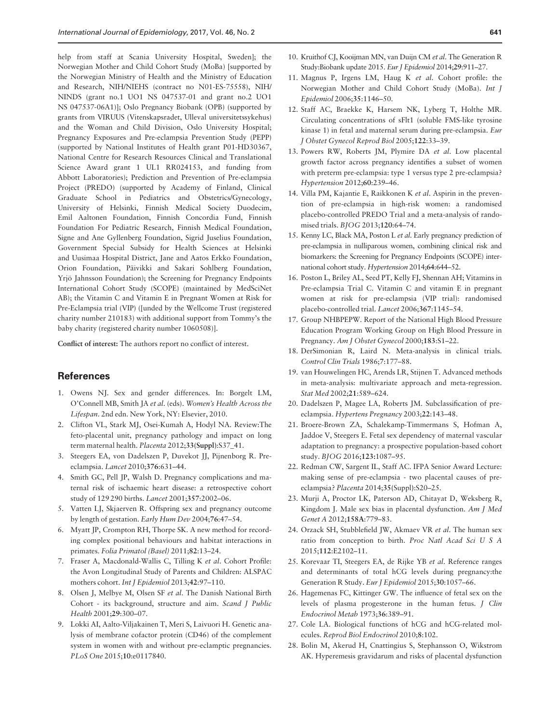<span id="page-9-0"></span>help from staff at Scania University Hospital, Sweden]; the Norwegian Mother and Child Cohort Study (MoBa) [supported by the Norwegian Ministry of Health and the Ministry of Education and Research, NIH/NIEHS (contract no N01-ES-75558), NIH/ NINDS (grant no.1 UO1 NS 047537-01 and grant no.2 UO1 NS 047537-06A1)]; Oslo Pregnancy Biobank (OPB) (supported by grants from VIRUUS (Vitenskapsradet, Ulleval universitetssykehus) and the Woman and Child Division, Oslo University Hospital; Pregnancy Exposures and Pre-eclampsia Prevention Study (PEPP) (supported by National Institutes of Health grant P01-HD30367, National Centre for Research Resources Clinical and Translational Science Award grant 1 UL1 RR024153, and funding from Abbott Laboratories); Prediction and Prevention of Pre-eclampsia Project (PREDO) (supported by Academy of Finland, Clinical Graduate School in Pediatrics and Obstetrics/Gynecology, University of Helsinki, Finnish Medical Society Duodecim, Emil Aaltonen Foundation, Finnish Concordia Fund, Finnish Foundation For Pediatric Research, Finnish Medical Foundation, Signe and Ane Gyllenberg Foundation, Sigrid Juselius Foundation, Government Special Subsidy for Health Sciences at Helsinki and Uusimaa Hospital District, Jane and Aatos Erkko Foundation, Orion Foundation, Päivikki and Sakari Sohlberg Foundation, Yrjö Jahnsson Foundation); the Screening for Pregnancy Endpoints International Cohort Study (SCOPE) (maintained by MedSciNet AB); the Vitamin C and Vitamin E in Pregnant Women at Risk for Pre-Eclampsia trial (VIP) ([unded by the Wellcome Trust (registered charity number 210183) with additional support from Tommy's the baby charity (registered charity number 1060508)].

Conflict of interest: The authors report no conflict of interest.

## **References**

- 1. Owens NJ. Sex and gender differences. In: Borgelt LM, O'Connell MB, Smith JA et al. (eds). Women's Health Across the Lifespan. 2nd edn. New York, NY: Elsevier, 2010.
- 2. Clifton VL, Stark MJ, Osei-Kumah A, Hodyl NA. Review:The feto-placental unit, pregnancy pathology and impact on long term maternal health. Placenta 2012;33(Suppl):S37\_41.
- 3. Steegers EA, von Dadelszen P, Duvekot JJ, Pijnenborg R. Preeclampsia. Lancet 2010;376:631–44.
- 4. Smith GC, Pell JP, Walsh D. Pregnancy complications and maternal risk of ischaemic heart disease: a retrospective cohort study of 129 290 births. Lancet 2001;357:2002–06.
- 5. Vatten LJ, Skjaerven R. Offspring sex and pregnancy outcome by length of gestation. Early Hum Dev 2004;76:47–54.
- 6. Myatt JP, Crompton RH, Thorpe SK. A new method for recording complex positional behaviours and habitat interactions in primates. Folia Primatol (Basel) 2011;82:13–24.
- 7. Fraser A, Macdonald-Wallis C, Tilling K et al. Cohort Profile: the Avon Longitudinal Study of Parents and Children: ALSPAC mothers cohort. Int J Epidemiol 2013;42:97–110.
- 8. Olsen J, Melbye M, Olsen SF et al. The Danish National Birth Cohort - its background, structure and aim. Scand J Public Health 2001;29:300–07.
- 9. Lokki AI, Aalto-Viljakainen T, Meri S, Laivuori H. Genetic analysis of membrane cofactor protein (CD46) of the complement system in women with and without pre-eclamptic pregnancies. PLoS One 2015;10:e0117840.
- 10. Kruithof CJ, Kooijman MN, van Duijn CM et al. The Generation R Study:Biobank update 2015. Eur J Epidemiol 2014;29:911–27.
- 11. Magnus P, Irgens LM, Haug K et al. Cohort profile: the Norwegian Mother and Child Cohort Study (MoBa). Int J Epidemiol 2006;35:1146–50.
- 12. Staff AC, Braekke K, Harsem NK, Lyberg T, Holthe MR. Circulating concentrations of sFlt1 (soluble FMS-like tyrosine kinase 1) in fetal and maternal serum during pre-eclampsia. Eur J Obstet Gynecol Reprod Biol 2005;122:33–39.
- 13. Powers RW, Roberts JM, Plymire DA et al. Low placental growth factor across pregnancy identifies a subset of women with preterm pre-eclampsia: type 1 versus type 2 pre-eclampsia? Hypertension 2012;60:239–46.
- 14. Villa PM, Kajantie E, Raikkonen K et al. Aspirin in the prevention of pre-eclampsia in high-risk women: a randomised placebo-controlled PREDO Trial and a meta-analysis of randomised trials. BJOG 2013;120:64–74.
- 15. Kenny LC, Black MA, Poston L et al. Early pregnancy prediction of pre-eclampsia in nulliparous women, combining clinical risk and biomarkers: the Screening for Pregnancy Endpoints (SCOPE) international cohort study. Hypertension 2014;64:644–52.
- 16. Poston L, Briley AL, Seed PT, Kelly FJ, Shennan AH; Vitamins in Pre-eclampsia Trial C. Vitamin C and vitamin E in pregnant women at risk for pre-eclampsia (VIP trial): randomised placebo-controlled trial. Lancet 2006;367:1145–54.
- 17. Group NHBPEPW. Report of the National High Blood Pressure Education Program Working Group on High Blood Pressure in Pregnancy. Am J Obstet Gynecol 2000;183:S1–22.
- 18. DerSimonian R, Laird N. Meta-analysis in clinical trials. Control Clin Trials 1986;7:177–88.
- 19. van Houwelingen HC, Arends LR, Stijnen T. Advanced methods in meta-analysis: multivariate approach and meta-regression. Stat Med 2002;21:589–624.
- 20. Dadelszen P, Magee LA, Roberts JM. Subclassification of preeclampsia. Hypertens Pregnancy 2003;22:143–48.
- 21. Broere-Brown ZA, Schalekamp-Timmermans S, Hofman A, Jaddoe V, Steegers E. Fetal sex dependency of maternal vascular adaptation to pregnancy: a prospective population-based cohort study. BJOG 2016;123:1087–95.
- 22. Redman CW, Sargent IL, Staff AC. IFPA Senior Award Lecture: making sense of pre-eclampsia - two placental causes of preeclampsia? Placenta 2014;35(Suppl):S20–25.
- 23. Murji A, Proctor LK, Paterson AD, Chitayat D, Weksberg R, Kingdom J. Male sex bias in placental dysfunction. Am J Med Genet A 2012;158A:779–83.
- 24. Orzack SH, Stubblefield JW, Akmaev VR et al. The human sex ratio from conception to birth. Proc Natl Acad Sci U S A 2015;112:E2102–11.
- 25. Korevaar TI, Steegers EA, de Rijke YB et al. Reference ranges and determinants of total hCG levels during pregnancy:the Generation R Study. Eur J Epidemiol 2015;30:1057–66.
- 26. Hagemenas FC, Kittinger GW. The influence of fetal sex on the levels of plasma progesterone in the human fetus. J Clin Endocrinol Metab 1973;36:389–91.
- 27. Cole LA. Biological functions of hCG and hCG-related molecules. Reprod Biol Endocrinol 2010;8:102.
- 28. Bolin M, Akerud H, Cnattingius S, Stephansson O, Wikstrom AK. Hyperemesis gravidarum and risks of placental dysfunction